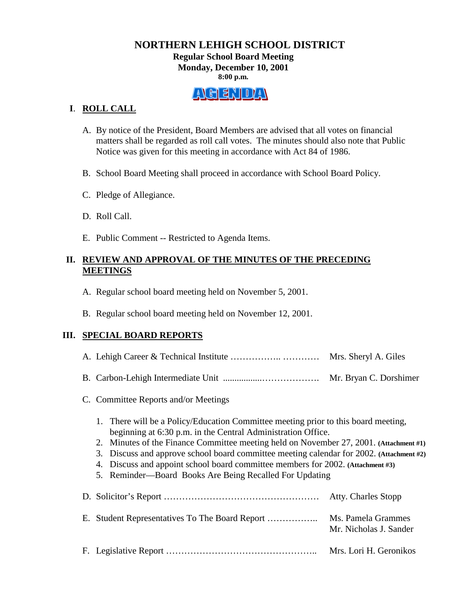## **NORTHERN LEHIGH SCHOOL DISTRICT Regular School Board Meeting Monday, December 10, 2001 8:00 p.m.**



## **I**. **ROLL CALL**

- A. By notice of the President, Board Members are advised that all votes on financial matters shall be regarded as roll call votes. The minutes should also note that Public Notice was given for this meeting in accordance with Act 84 of 1986.
- B. School Board Meeting shall proceed in accordance with School Board Policy.
- C. Pledge of Allegiance.
- D. Roll Call.
- E. Public Comment -- Restricted to Agenda Items.

### **II. REVIEW AND APPROVAL OF THE MINUTES OF THE PRECEDING MEETINGS**

- A. Regular school board meeting held on November 5, 2001.
- B. Regular school board meeting held on November 12, 2001.

### **III. SPECIAL BOARD REPORTS**

|                                                                                                                                                                                                                                                                                                                                                                                                                                                                                        |                                      | Mrs. Sheryl A. Giles                         |
|----------------------------------------------------------------------------------------------------------------------------------------------------------------------------------------------------------------------------------------------------------------------------------------------------------------------------------------------------------------------------------------------------------------------------------------------------------------------------------------|--------------------------------------|----------------------------------------------|
|                                                                                                                                                                                                                                                                                                                                                                                                                                                                                        |                                      |                                              |
|                                                                                                                                                                                                                                                                                                                                                                                                                                                                                        | C. Committee Reports and/or Meetings |                                              |
| 1. There will be a Policy/Education Committee meeting prior to this board meeting,<br>beginning at 6:30 p.m. in the Central Administration Office.<br>2. Minutes of the Finance Committee meeting held on November 27, 2001. (Attachment #1)<br>3. Discuss and approve school board committee meeting calendar for 2002. (Attachment #2)<br>4. Discuss and appoint school board committee members for 2002. (Attachment #3)<br>5. Reminder—Board Books Are Being Recalled For Updating |                                      |                                              |
|                                                                                                                                                                                                                                                                                                                                                                                                                                                                                        |                                      | <b>Atty. Charles Stopp</b>                   |
|                                                                                                                                                                                                                                                                                                                                                                                                                                                                                        |                                      | Ms. Pamela Grammes<br>Mr. Nicholas J. Sander |
|                                                                                                                                                                                                                                                                                                                                                                                                                                                                                        |                                      | Mrs. Lori H. Geronikos                       |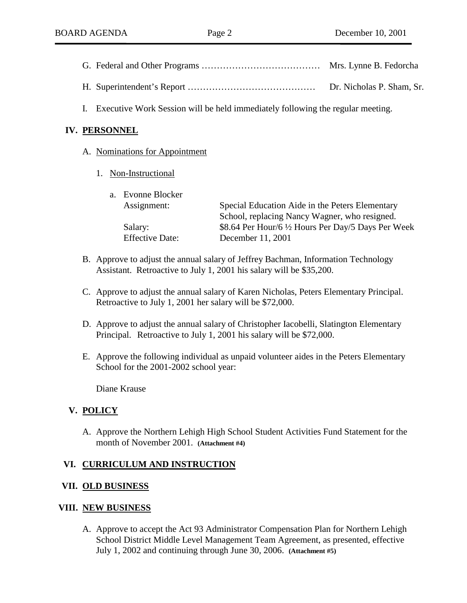| Dr. Nicholas P. Sham, Sr. |
|---------------------------|

I. Executive Work Session will be held immediately following the regular meeting.

## **IV. PERSONNEL**

- A. Nominations for Appointment
	- 1. Non-Instructional

| a. Evonne Blocker      |                                                     |
|------------------------|-----------------------------------------------------|
| Assignment:            | Special Education Aide in the Peters Elementary     |
|                        | School, replacing Nancy Wagner, who resigned.       |
| Salary:                | \$8.64 Per Hour/6 1/2 Hours Per Day/5 Days Per Week |
| <b>Effective Date:</b> | December 11, 2001                                   |
|                        |                                                     |

- B. Approve to adjust the annual salary of Jeffrey Bachman, Information Technology Assistant. Retroactive to July 1, 2001 his salary will be \$35,200.
- C. Approve to adjust the annual salary of Karen Nicholas, Peters Elementary Principal. Retroactive to July 1, 2001 her salary will be \$72,000.
- D. Approve to adjust the annual salary of Christopher Iacobelli, Slatington Elementary Principal. Retroactive to July 1, 2001 his salary will be \$72,000.
- E. Approve the following individual as unpaid volunteer aides in the Peters Elementary School for the 2001-2002 school year:

Diane Krause

### **V. POLICY**

A. Approve the Northern Lehigh High School Student Activities Fund Statement for the month of November 2001. **(Attachment #4)**

### **VI. CURRICULUM AND INSTRUCTION**

### **VII. OLD BUSINESS**

#### **VIII. NEW BUSINESS**

A. Approve to accept the Act 93 Administrator Compensation Plan for Northern Lehigh School District Middle Level Management Team Agreement, as presented, effective July 1, 2002 and continuing through June 30, 2006. **(Attachment #5)**